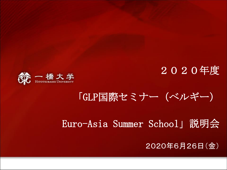2020年度



### 「GLP国際セミナー(ベルギー)

#### Euro-Asia Summer School」説明会

#### 2020年6月26日(金)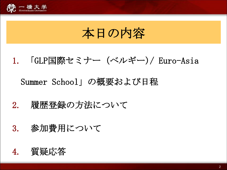

## 本日の内容

- 1. 「GLP国際セミナー(ベルギー)/ Euro-Asia Summer School」の概要および日程
- 2. 履歴登録の方法について
- 3. 参加費用について

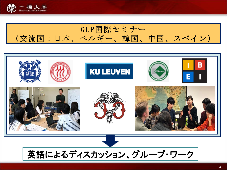



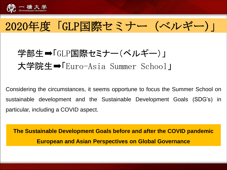

### 2020年度「GLP国際セミナー(ベルギー)」

### 学部生⇒「GLP国際セミナー(ベルギー)」 大学院生➡「Euro-Asia Summer School」

Considering the circumstances, it seems opportune to focus the Summer School on sustainable development and the Sustainable Development Goals (SDG's) in particular, including a COVID aspect.

**The Sustainable Development Goals before and after the COVID pandemic European and Asian Perspectives on Global Governance**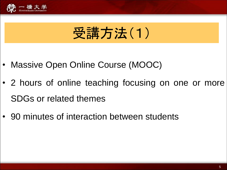

# 受講方法(1)

- Massive Open Online Course (MOOC)
- 2 hours of online teaching focusing on one or more SDGs or related themes
- 90 minutes of interaction between students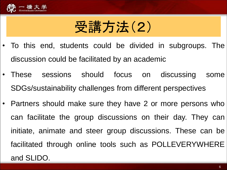

# 受講方法(2)

- To this end, students could be divided in subgroups. The discussion could be facilitated by an academic
- These sessions should focus on discussing some SDGs/sustainability challenges from different perspectives
- Partners should make sure they have 2 or more persons who can facilitate the group discussions on their day. They can initiate, animate and steer group discussions. These can be facilitated through online tools such as POLLEVERYWHERE and SLIDO.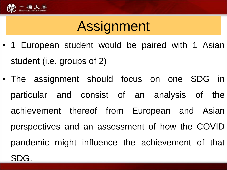

# Assignment

- 1 European student would be paired with 1 Asian student (i.e. groups of 2)
- The assignment should focus on one SDG in particular and consist of an analysis of the achievement thereof from European and Asian perspectives and an assessment of how the COVID pandemic might influence the achievement of that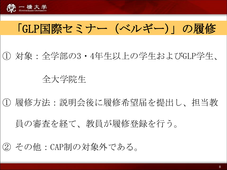

### 「GLP国際セミナー(ベルギー)」の履修

① 対象:全学部の3・4年生以上の学生およびGLP学生、

#### 全大学院生

① 履修方法:説明会後に履修希望届を提出し、担当教

員の審査を経て、教員が履修登録を行う。

② その他:CAP制の対象外である。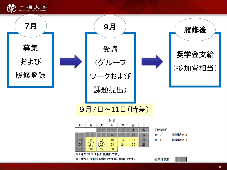

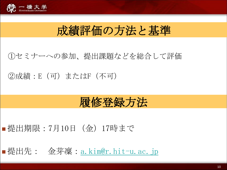

### 成績評価の方法と基準

#### ①セミナーへの参加、提出課題などを総合して評価

#### ②成績:E(可)またはF(不可)

### 履修登録方法

#### ■ 提出期限:7月10日 (金) 17時まで

■提出先: 金芽凜:[a.kim@r.hit-u.ac.jp](mailto:a.kim@r.hit-u.ac.jp)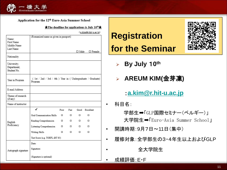

#### Application for the 12<sup>th</sup> Euro-Asia Summer School

#### $\star$ The deadline for applications is July 10<sup>th</sup> $\star$

(a.kim@r.hit-u.ac.jp)

| Name:                                     | (Romanized name as given in passport)                                  |        |        |             |                |
|-------------------------------------------|------------------------------------------------------------------------|--------|--------|-------------|----------------|
| First Name<br>Middle Name                 |                                                                        |        |        |             |                |
| Last Name                                 |                                                                        |        |        | $\Box$ Male | $\Box$ Female  |
| Nationality                               |                                                                        |        |        |             |                |
| University;<br>Department;<br>Student No. |                                                                        |        |        |             |                |
| Year in Program                           | (1st / 2nd / 3rd / 4th ) Year in (Undergraduate / Graduate)<br>Program |        |        |             |                |
| E-mail Address                            |                                                                        |        |        |             |                |
| Theme of research<br>(if any)             |                                                                        |        |        |             |                |
| Name of instructor                        |                                                                        |        |        |             |                |
| English<br>Proficiency                    | ✓                                                                      | Poor   | Fair   |             | Good Excellent |
|                                           | Oral Communication Skills                                              | $\Box$ | $\Box$ | $\Box$      | □              |
|                                           | Reading Comprehension                                                  | $\Box$ | $\Box$ | $\Box$      | П              |
|                                           | Listening Comprehension                                                | $\Box$ | $\Box$ | $\Box$      | $\Box$         |
|                                           | Writing Skills                                                         | $\Box$ | $\Box$ |             | п              |
|                                           | Test Score (e.g. TOEFL iBT 85)                                         |        |        |             |                |
| Autograph signature                       | Date:                                                                  |        |        |             |                |
|                                           | Signature:                                                             |        |        |             |                |
|                                           | (Signature is optional)                                                |        |        |             |                |

### **Registration for the Seminar**

- ➢ **By July** 1**0 th**
- ➢ **AREUM KIM(**金芽凜**)**
	- :**[a.kim@r.hit-u.ac.jp](mailto:a.kim@r.hit-u.ac.jp)**
- 科目名:

学部生⇒「GLP国際セミナー(ベルギー)」 大学院生➡「Euro-Asia Summer School」

- 開講時期:9月7日~11日(集中)
- 履修対象:全学部生の3・4年生以上およびGLP

• 全大学院生

• 成績評価:E・F